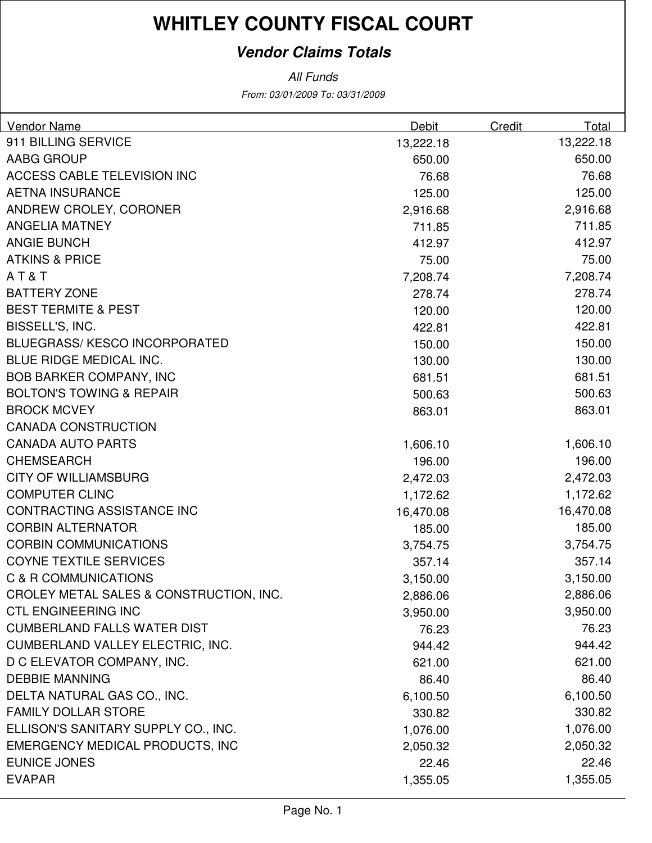# **WHITLEY COUNTY FISCAL COURT**

### **Vendor Claims Totals**

From: 03/01/2009 To: 03/31/2009 All Funds

| <b>Vendor Name</b>                      | Debit     | Credit | Total     |
|-----------------------------------------|-----------|--------|-----------|
| 911 BILLING SERVICE                     | 13,222.18 |        | 13,222.18 |
| <b>AABG GROUP</b>                       | 650.00    |        | 650.00    |
| <b>ACCESS CABLE TELEVISION INC</b>      | 76.68     |        | 76.68     |
| <b>AETNA INSURANCE</b>                  | 125.00    |        | 125.00    |
| ANDREW CROLEY, CORONER                  | 2,916.68  |        | 2,916.68  |
| <b>ANGELIA MATNEY</b>                   | 711.85    |        | 711.85    |
| <b>ANGIE BUNCH</b>                      | 412.97    |        | 412.97    |
| <b>ATKINS &amp; PRICE</b>               | 75.00     |        | 75.00     |
| AT&T                                    | 7,208.74  |        | 7,208.74  |
| <b>BATTERY ZONE</b>                     | 278.74    |        | 278.74    |
| <b>BEST TERMITE &amp; PEST</b>          | 120.00    |        | 120.00    |
| BISSELL'S, INC.                         | 422.81    |        | 422.81    |
| <b>BLUEGRASS/ KESCO INCORPORATED</b>    | 150.00    |        | 150.00    |
| BLUE RIDGE MEDICAL INC.                 | 130.00    |        | 130.00    |
| <b>BOB BARKER COMPANY, INC</b>          | 681.51    |        | 681.51    |
| <b>BOLTON'S TOWING &amp; REPAIR</b>     | 500.63    |        | 500.63    |
| <b>BROCK MCVEY</b>                      | 863.01    |        | 863.01    |
| <b>CANADA CONSTRUCTION</b>              |           |        |           |
| <b>CANADA AUTO PARTS</b>                | 1,606.10  |        | 1,606.10  |
| <b>CHEMSEARCH</b>                       | 196.00    |        | 196.00    |
| <b>CITY OF WILLIAMSBURG</b>             | 2,472.03  |        | 2,472.03  |
| <b>COMPUTER CLINC</b>                   | 1,172.62  |        | 1,172.62  |
| CONTRACTING ASSISTANCE INC              | 16,470.08 |        | 16,470.08 |
| <b>CORBIN ALTERNATOR</b>                | 185.00    |        | 185.00    |
| <b>CORBIN COMMUNICATIONS</b>            | 3,754.75  |        | 3,754.75  |
| <b>COYNE TEXTILE SERVICES</b>           | 357.14    |        | 357.14    |
| C & R COMMUNICATIONS                    | 3,150.00  |        | 3,150.00  |
| CROLEY METAL SALES & CONSTRUCTION, INC. | 2,886.06  |        | 2,886.06  |
| <b>CTL ENGINEERING INC</b>              | 3,950.00  |        | 3,950.00  |
| <b>CUMBERLAND FALLS WATER DIST</b>      | 76.23     |        | 76.23     |
| CUMBERLAND VALLEY ELECTRIC, INC.        | 944.42    |        | 944.42    |
| D C ELEVATOR COMPANY, INC.              | 621.00    |        | 621.00    |
| <b>DEBBIE MANNING</b>                   | 86.40     |        | 86.40     |
| DELTA NATURAL GAS CO., INC.             | 6,100.50  |        | 6,100.50  |
| <b>FAMILY DOLLAR STORE</b>              | 330.82    |        | 330.82    |
| ELLISON'S SANITARY SUPPLY CO., INC.     | 1,076.00  |        | 1,076.00  |
| <b>EMERGENCY MEDICAL PRODUCTS, INC</b>  | 2,050.32  |        | 2,050.32  |
| <b>EUNICE JONES</b>                     | 22.46     |        | 22.46     |
| <b>EVAPAR</b>                           | 1,355.05  |        | 1,355.05  |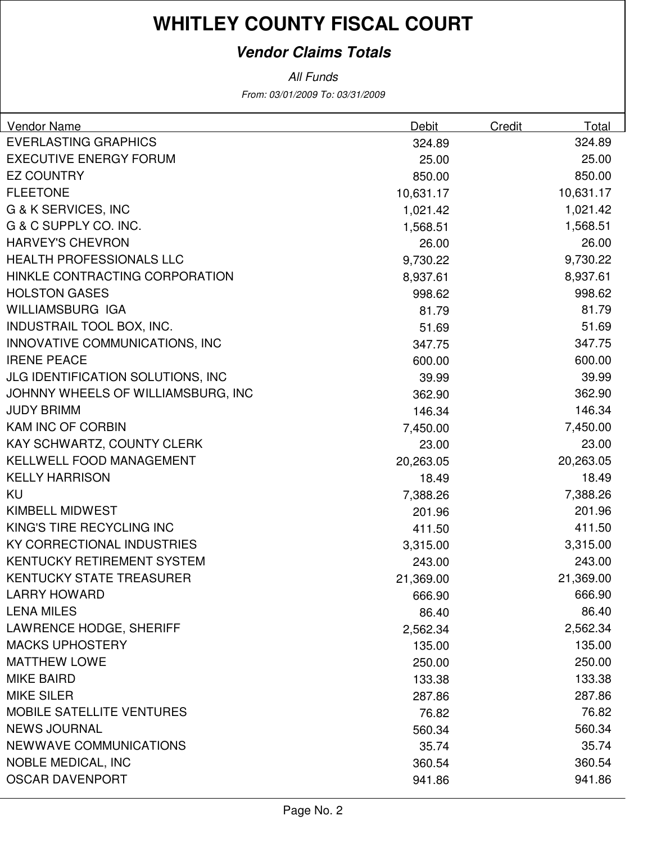# **WHITLEY COUNTY FISCAL COURT**

### **Vendor Claims Totals**

From: 03/01/2009 To: 03/31/2009 All Funds

| <b>Vendor Name</b>                 | Debit     | Credit | Total     |
|------------------------------------|-----------|--------|-----------|
| <b>EVERLASTING GRAPHICS</b>        | 324.89    |        | 324.89    |
| <b>EXECUTIVE ENERGY FORUM</b>      | 25.00     |        | 25.00     |
| <b>EZ COUNTRY</b>                  | 850.00    |        | 850.00    |
| <b>FLEETONE</b>                    | 10,631.17 |        | 10,631.17 |
| G & K SERVICES, INC                | 1,021.42  |        | 1,021.42  |
| G & C SUPPLY CO. INC.              | 1,568.51  |        | 1,568.51  |
| <b>HARVEY'S CHEVRON</b>            | 26.00     |        | 26.00     |
| <b>HEALTH PROFESSIONALS LLC</b>    | 9,730.22  |        | 9,730.22  |
| HINKLE CONTRACTING CORPORATION     | 8,937.61  |        | 8,937.61  |
| <b>HOLSTON GASES</b>               | 998.62    |        | 998.62    |
| WILLIAMSBURG IGA                   | 81.79     |        | 81.79     |
| INDUSTRAIL TOOL BOX, INC.          | 51.69     |        | 51.69     |
| INNOVATIVE COMMUNICATIONS, INC     | 347.75    |        | 347.75    |
| <b>IRENE PEACE</b>                 | 600.00    |        | 600.00    |
| JLG IDENTIFICATION SOLUTIONS, INC  | 39.99     |        | 39.99     |
| JOHNNY WHEELS OF WILLIAMSBURG, INC | 362.90    |        | 362.90    |
| <b>JUDY BRIMM</b>                  | 146.34    |        | 146.34    |
| KAM INC OF CORBIN                  | 7,450.00  |        | 7,450.00  |
| KAY SCHWARTZ, COUNTY CLERK         | 23.00     |        | 23.00     |
| KELLWELL FOOD MANAGEMENT           | 20,263.05 |        | 20,263.05 |
| <b>KELLY HARRISON</b>              | 18.49     |        | 18.49     |
| KU                                 | 7,388.26  |        | 7,388.26  |
| <b>KIMBELL MIDWEST</b>             | 201.96    |        | 201.96    |
| KING'S TIRE RECYCLING INC          | 411.50    |        | 411.50    |
| KY CORRECTIONAL INDUSTRIES         | 3,315.00  |        | 3,315.00  |
| KENTUCKY RETIREMENT SYSTEM         | 243.00    |        | 243.00    |
| <b>KENTUCKY STATE TREASURER</b>    | 21,369.00 |        | 21,369.00 |
| <b>LARRY HOWARD</b>                | 666.90    |        | 666.90    |
| <b>LENA MILES</b>                  | 86.40     |        | 86.40     |
| <b>LAWRENCE HODGE, SHERIFF</b>     | 2,562.34  |        | 2,562.34  |
| <b>MACKS UPHOSTERY</b>             | 135.00    |        | 135.00    |
| <b>MATTHEW LOWE</b>                | 250.00    |        | 250.00    |
| <b>MIKE BAIRD</b>                  | 133.38    |        | 133.38    |
| <b>MIKE SILER</b>                  | 287.86    |        | 287.86    |
| <b>MOBILE SATELLITE VENTURES</b>   | 76.82     |        | 76.82     |
| <b>NEWS JOURNAL</b>                | 560.34    |        | 560.34    |
| NEWWAVE COMMUNICATIONS             | 35.74     |        | 35.74     |
| <b>NOBLE MEDICAL, INC</b>          | 360.54    |        | 360.54    |
| <b>OSCAR DAVENPORT</b>             | 941.86    |        | 941.86    |